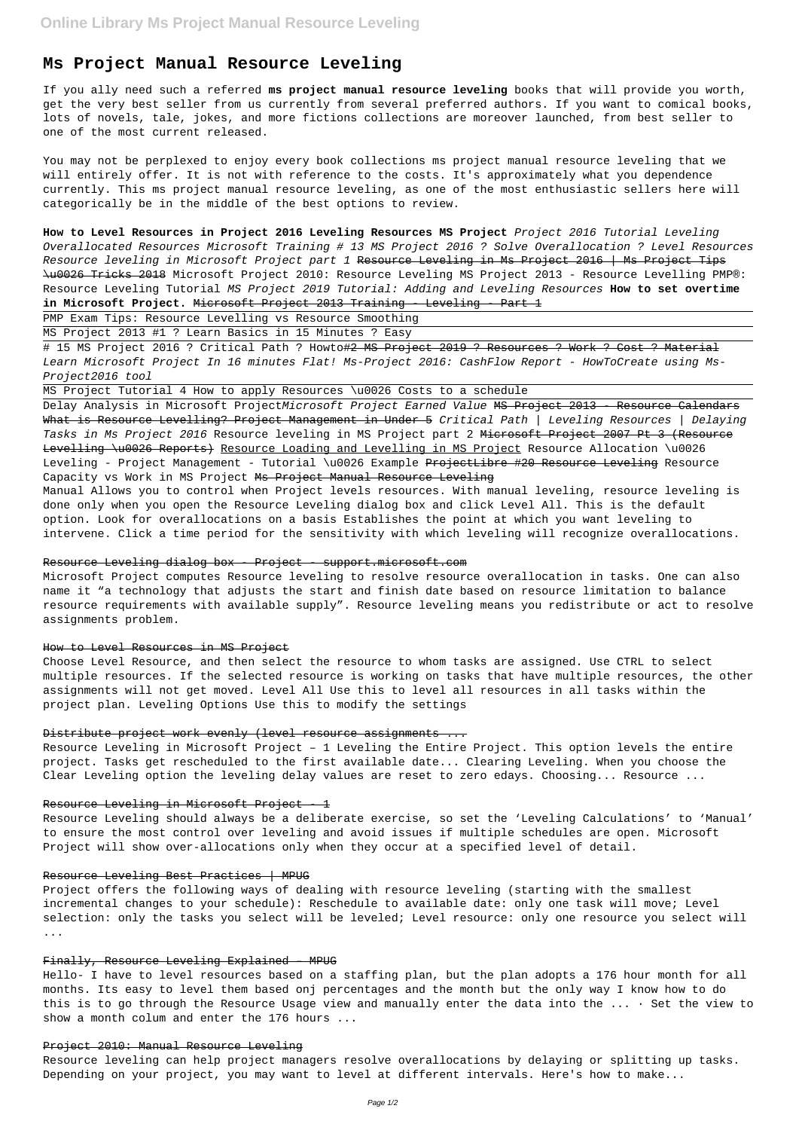# **Ms Project Manual Resource Leveling**

If you ally need such a referred **ms project manual resource leveling** books that will provide you worth, get the very best seller from us currently from several preferred authors. If you want to comical books, lots of novels, tale, jokes, and more fictions collections are moreover launched, from best seller to one of the most current released.

You may not be perplexed to enjoy every book collections ms project manual resource leveling that we will entirely offer. It is not with reference to the costs. It's approximately what you dependence currently. This ms project manual resource leveling, as one of the most enthusiastic sellers here will categorically be in the middle of the best options to review.

# 15 MS Project 2016 ? Critical Path ? Howto#2 MS Project 2019 ? Resources ? Work ? Cost ? Material Learn Microsoft Project In 16 minutes Flat! Ms-Project 2016: CashFlow Report - HowToCreate using Ms-Project2016 tool

**How to Level Resources in Project 2016 Leveling Resources MS Project** Project 2016 Tutorial Leveling Overallocated Resources Microsoft Training # 13 MS Project 2016 ? Solve Overallocation ? Level Resources Resource leveling in Microsoft Project part 1 Resource Leveling in Ms Project 2016 | Ms Project Tips \u0026 Tricks 2018 Microsoft Project 2010: Resource Leveling MS Project 2013 - Resource Levelling PMP®: Resource Leveling Tutorial MS Project 2019 Tutorial: Adding and Leveling Resources **How to set overtime in Microsoft Project.** Microsoft Project 2013 Training - Leveling - Part 1

PMP Exam Tips: Resource Levelling vs Resource Smoothing

MS Project 2013 #1 ? Learn Basics in 15 Minutes ? Easy

MS Project Tutorial 4 How to apply Resources \u0026 Costs to a schedule

Delay Analysis in Microsoft ProjectMicrosoft Project Earned Value MS Project 2013 - Resource Calendars What is Resource Levelling? Project Management in Under 5 Critical Path | Leveling Resources | Delaying Tasks in Ms Project 2016 Resource leveling in MS Project part 2 Microsoft Project 2007 Pt 3 (Resource Levelling \u0026 Reports) Resource Loading and Levelling in MS Project Resource Allocation \u0026 Leveling - Project Management - Tutorial \u0026 Example ProjectLibre #20 Resource Leveling Resource Capacity vs Work in MS Project Ms Project Manual Resource Leveling

Manual Allows you to control when Project levels resources. With manual leveling, resource leveling is done only when you open the Resource Leveling dialog box and click Level All. This is the default option. Look for overallocations on a basis Establishes the point at which you want leveling to intervene. Click a time period for the sensitivity with which leveling will recognize overallocations.

## Resource Leveling dialog box - Project - support.microsoft.com

Microsoft Project computes Resource leveling to resolve resource overallocation in tasks. One can also name it "a technology that adjusts the start and finish date based on resource limitation to balance resource requirements with available supply". Resource leveling means you redistribute or act to resolve assignments problem.

#### How to Level Resources in MS Project

Choose Level Resource, and then select the resource to whom tasks are assigned. Use CTRL to select multiple resources. If the selected resource is working on tasks that have multiple resources, the other assignments will not get moved. Level All Use this to level all resources in all tasks within the project plan. Leveling Options Use this to modify the settings

#### Distribute project work evenly (level resource assignments ...

Resource Leveling in Microsoft Project – 1 Leveling the Entire Project. This option levels the entire project. Tasks get rescheduled to the first available date... Clearing Leveling. When you choose the Clear Leveling option the leveling delay values are reset to zero edays. Choosing... Resource ...

#### Resource Leveling in Microsoft Project - 1

Resource Leveling should always be a deliberate exercise, so set the 'Leveling Calculations' to 'Manual' to ensure the most control over leveling and avoid issues if multiple schedules are open. Microsoft Project will show over-allocations only when they occur at a specified level of detail.

#### Resource Leveling Best Practices | MPUG

Project offers the following ways of dealing with resource leveling (starting with the smallest incremental changes to your schedule): Reschedule to available date: only one task will move; Level selection: only the tasks you select will be leveled; Level resource: only one resource you select will ...

## Finally, Resource Leveling Explained – MPUG

Hello- I have to level resources based on a staffing plan, but the plan adopts a 176 hour month for all months. Its easy to level them based onj percentages and the month but the only way I know how to do this is to go through the Resource Usage view and manually enter the data into the  $\dots$  Set the view to show a month colum and enter the 176 hours ...

#### Project 2010: Manual Resource Leveling

Resource leveling can help project managers resolve overallocations by delaying or splitting up tasks. Depending on your project, you may want to level at different intervals. Here's how to make...